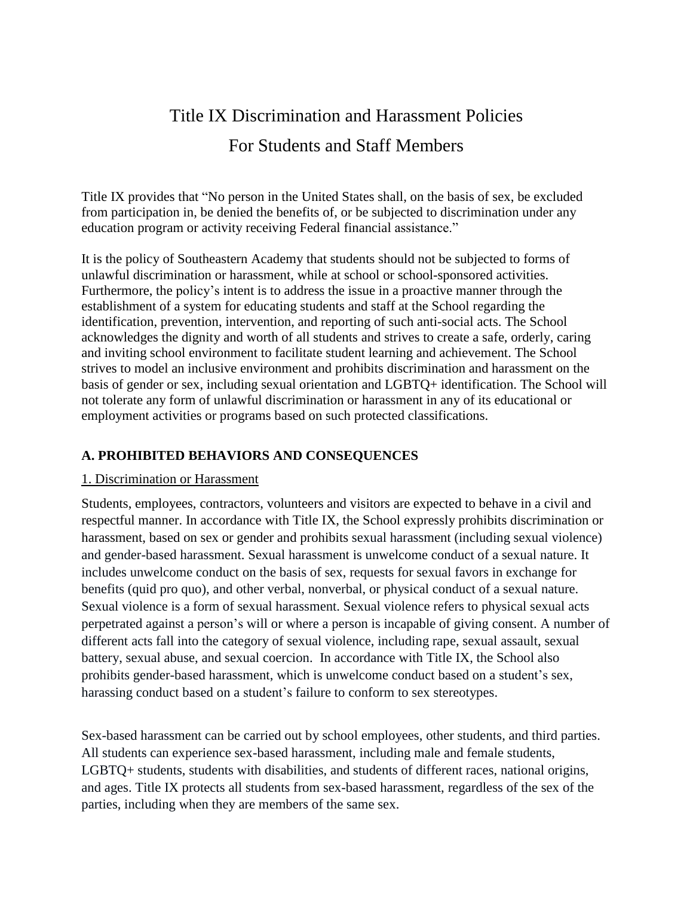# Title IX Discrimination and Harassment Policies For Students and Staff Members

Title IX provides that "No person in the United States shall, on the basis of sex, be excluded from participation in, be denied the benefits of, or be subjected to discrimination under any education program or activity receiving Federal financial assistance."

It is the policy of Southeastern Academy that students should not be subjected to forms of unlawful discrimination or harassment, while at school or school-sponsored activities. Furthermore, the policy's intent is to address the issue in a proactive manner through the establishment of a system for educating students and staff at the School regarding the identification, prevention, intervention, and reporting of such anti-social acts. The School acknowledges the dignity and worth of all students and strives to create a safe, orderly, caring and inviting school environment to facilitate student learning and achievement. The School strives to model an inclusive environment and prohibits discrimination and harassment on the basis of gender or sex, including sexual orientation and LGBTQ+ identification. The School will not tolerate any form of unlawful discrimination or harassment in any of its educational or employment activities or programs based on such protected classifications.

#### **A. PROHIBITED BEHAVIORS AND CONSEQUENCES**

#### 1. Discrimination or Harassment

Students, employees, contractors, volunteers and visitors are expected to behave in a civil and respectful manner. In accordance with Title IX, the School expressly prohibits discrimination or harassment, based on sex or gender and prohibits sexual harassment (including sexual violence) and gender-based harassment. Sexual harassment is unwelcome conduct of a sexual nature. It includes unwelcome conduct on the basis of sex, requests for sexual favors in exchange for benefits (quid pro quo), and other verbal, nonverbal, or physical conduct of a sexual nature. Sexual violence is a form of sexual harassment. Sexual violence refers to physical sexual acts perpetrated against a person's will or where a person is incapable of giving consent. A number of different acts fall into the category of sexual violence, including rape, sexual assault, sexual battery, sexual abuse, and sexual coercion. In accordance with Title IX, the School also prohibits gender-based harassment, which is unwelcome conduct based on a student's sex, harassing conduct based on a student's failure to conform to sex stereotypes.

Sex-based harassment can be carried out by school employees, other students, and third parties. All students can experience sex-based harassment, including male and female students, LGBTQ+ students, students with disabilities, and students of different races, national origins, and ages. Title IX protects all students from sex-based harassment, regardless of the sex of the parties, including when they are members of the same sex.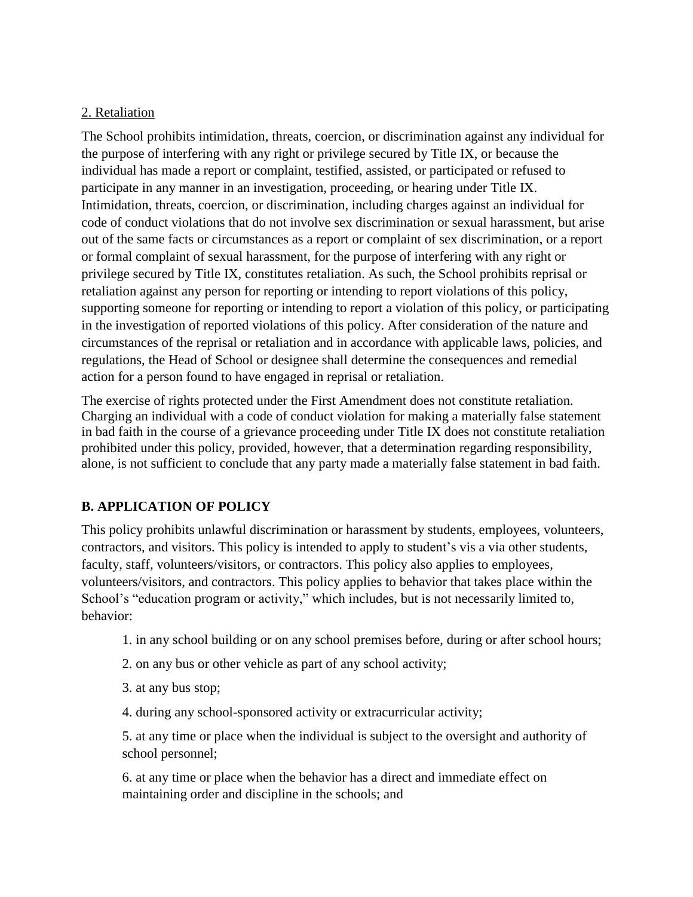#### 2. Retaliation

The School prohibits intimidation, threats, coercion, or discrimination against any individual for the purpose of interfering with any right or privilege secured by Title IX, or because the individual has made a report or complaint, testified, assisted, or participated or refused to participate in any manner in an investigation, proceeding, or hearing under Title IX. Intimidation, threats, coercion, or discrimination, including charges against an individual for code of conduct violations that do not involve sex discrimination or sexual harassment, but arise out of the same facts or circumstances as a report or complaint of sex discrimination, or a report or formal complaint of sexual harassment, for the purpose of interfering with any right or privilege secured by Title IX, constitutes retaliation. As such, the School prohibits reprisal or retaliation against any person for reporting or intending to report violations of this policy, supporting someone for reporting or intending to report a violation of this policy, or participating in the investigation of reported violations of this policy. After consideration of the nature and circumstances of the reprisal or retaliation and in accordance with applicable laws, policies, and regulations, the Head of School or designee shall determine the consequences and remedial action for a person found to have engaged in reprisal or retaliation.

The exercise of rights protected under the First Amendment does not constitute retaliation. Charging an individual with a code of conduct violation for making a materially false statement in bad faith in the course of a grievance proceeding under Title IX does not constitute retaliation prohibited under this policy, provided, however, that a determination regarding responsibility, alone, is not sufficient to conclude that any party made a materially false statement in bad faith.

## **B. APPLICATION OF POLICY**

This policy prohibits unlawful discrimination or harassment by students, employees, volunteers, contractors, and visitors. This policy is intended to apply to student's vis a via other students, faculty, staff, volunteers/visitors, or contractors. This policy also applies to employees, volunteers/visitors, and contractors. This policy applies to behavior that takes place within the School's "education program or activity," which includes, but is not necessarily limited to, behavior:

- 1. in any school building or on any school premises before, during or after school hours;
- 2. on any bus or other vehicle as part of any school activity;
- 3. at any bus stop;
- 4. during any school-sponsored activity or extracurricular activity;

5. at any time or place when the individual is subject to the oversight and authority of school personnel;

6. at any time or place when the behavior has a direct and immediate effect on maintaining order and discipline in the schools; and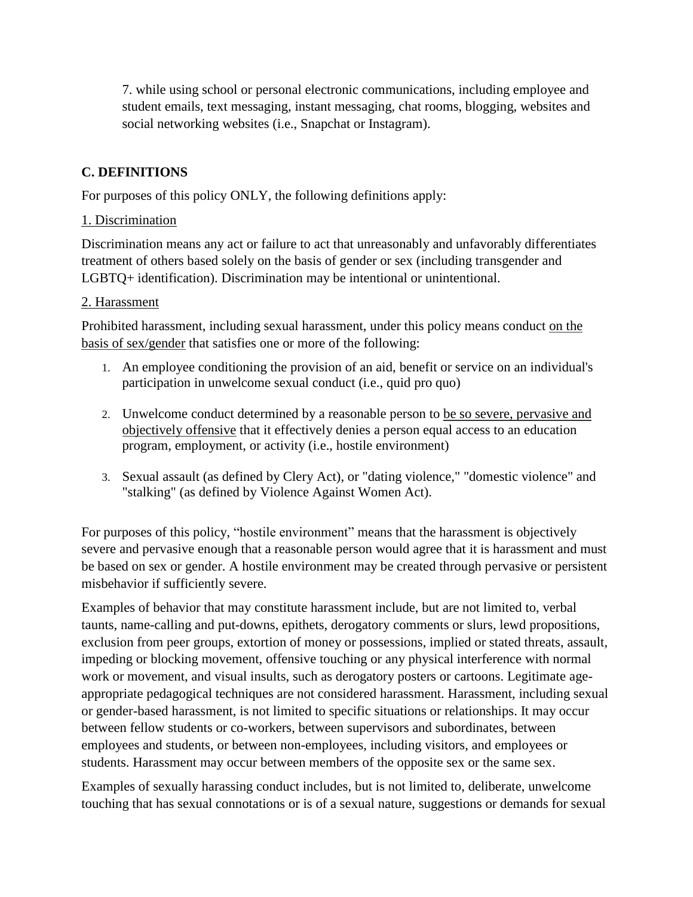7. while using school or personal electronic communications, including employee and student emails, text messaging, instant messaging, chat rooms, blogging, websites and social networking websites (i.e., Snapchat or Instagram).

## **C. DEFINITIONS**

For purposes of this policy ONLY, the following definitions apply:

### 1. Discrimination

Discrimination means any act or failure to act that unreasonably and unfavorably differentiates treatment of others based solely on the basis of gender or sex (including transgender and LGBTQ+ identification). Discrimination may be intentional or unintentional.

### 2. Harassment

Prohibited harassment, including sexual harassment, under this policy means conduct on the basis of sex/gender that satisfies one or more of the following:

- 1. An employee conditioning the provision of an aid, benefit or service on an individual's participation in unwelcome sexual conduct (i.e., quid pro quo)
- 2. Unwelcome conduct determined by a reasonable person to be so severe, pervasive and objectively offensive that it effectively denies a person equal access to an education program, employment, or activity (i.e., hostile environment)
- 3. Sexual assault (as defined by Clery Act), or "dating violence," "domestic violence" and "stalking" (as defined by Violence Against Women Act).

For purposes of this policy, "hostile environment" means that the harassment is objectively severe and pervasive enough that a reasonable person would agree that it is harassment and must be based on sex or gender. A hostile environment may be created through pervasive or persistent misbehavior if sufficiently severe.

Examples of behavior that may constitute harassment include, but are not limited to, verbal taunts, name-calling and put-downs, epithets, derogatory comments or slurs, lewd propositions, exclusion from peer groups, extortion of money or possessions, implied or stated threats, assault, impeding or blocking movement, offensive touching or any physical interference with normal work or movement, and visual insults, such as derogatory posters or cartoons. Legitimate ageappropriate pedagogical techniques are not considered harassment. Harassment, including sexual or gender-based harassment, is not limited to specific situations or relationships. It may occur between fellow students or co-workers, between supervisors and subordinates, between employees and students, or between non-employees, including visitors, and employees or students. Harassment may occur between members of the opposite sex or the same sex.

Examples of sexually harassing conduct includes, but is not limited to, deliberate, unwelcome touching that has sexual connotations or is of a sexual nature, suggestions or demands for sexual